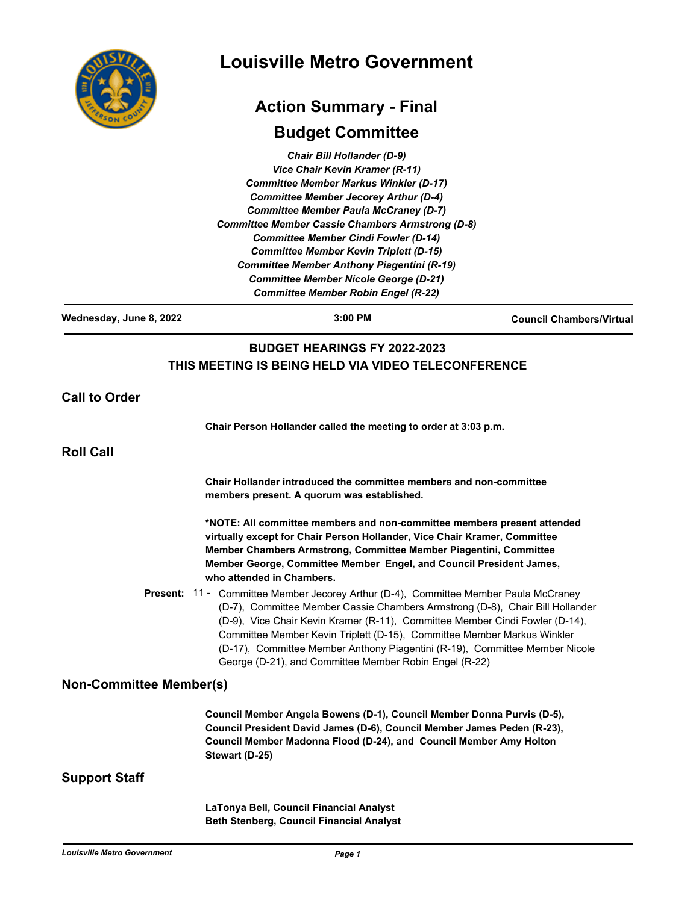| Ē           |
|-------------|
| COUP<br>RSO |
|             |

# **Louisville Metro Government**

## **Action Summary - Final**

## **Budget Committee**

*Chair Bill Hollander (D-9) Vice Chair Kevin Kramer (R-11) Committee Member Markus Winkler (D-17) Committee Member Jecorey Arthur (D-4) Committee Member Paula McCraney (D-7) Committee Member Cassie Chambers Armstrong (D-8) Committee Member Cindi Fowler (D-14) Committee Member Kevin Triplett (D-15) Committee Member Anthony Piagentini (R-19) Committee Member Nicole George (D-21) Committee Member Robin Engel (R-22)*

**Wednesday, June 8, 2022 3:00 PM Council Chambers/Virtual BUDGET HEARINGS FY 2022-2023 THIS MEETING IS BEING HELD VIA VIDEO TELECONFERENCE Call to Order Chair Person Hollander called the meeting to order at 3:03 p.m. Roll Call Chair Hollander introduced the committee members and non-committee members present. A quorum was established. \*NOTE: All committee members and non-committee members present attended virtually except for Chair Person Hollander, Vice Chair Kramer, Committee Member Chambers Armstrong, Committee Member Piagentini, Committee Member George, Committee Member Engel, and Council President James, who attended in Chambers.** Present: 11 - Committee Member Jecorey Arthur (D-4), Committee Member Paula McCraney (D-7), Committee Member Cassie Chambers Armstrong (D-8), Chair Bill Hollander (D-9), Vice Chair Kevin Kramer (R-11), Committee Member Cindi Fowler (D-14), Committee Member Kevin Triplett (D-15), Committee Member Markus Winkler (D-17), Committee Member Anthony Piagentini (R-19), Committee Member Nicole George (D-21), and Committee Member Robin Engel (R-22) **Non-Committee Member(s) Council Member Angela Bowens (D-1), Council Member Donna Purvis (D-5), Council President David James (D-6), Council Member James Peden (R-23), Council Member Madonna Flood (D-24), and Council Member Amy Holton Stewart (D-25) Support Staff LaTonya Bell, Council Financial Analyst Beth Stenberg, Council Financial Analyst**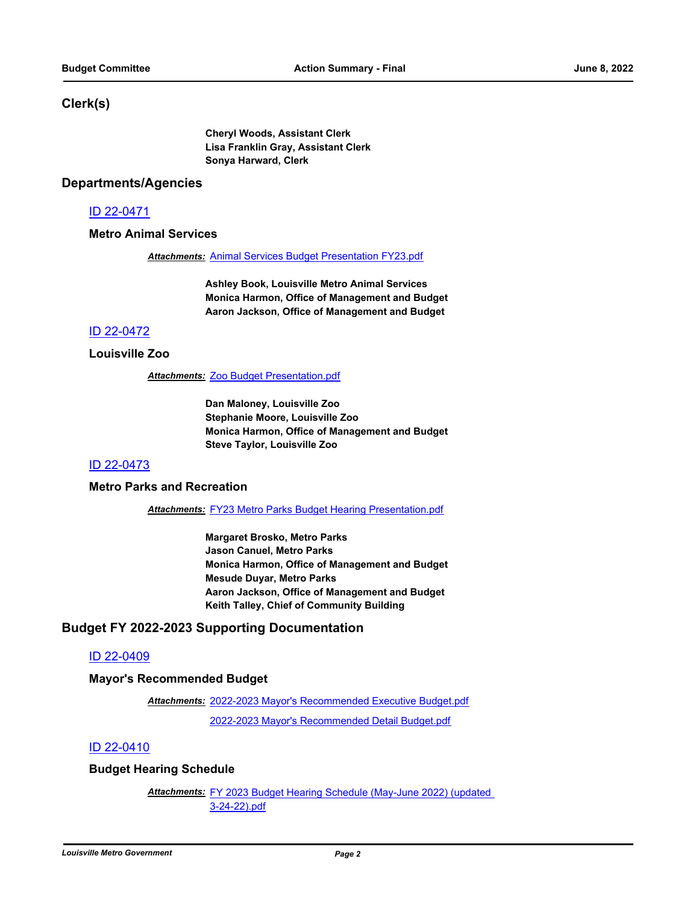### **Clerk(s)**

**Cheryl Woods, Assistant Clerk Lisa Franklin Gray, Assistant Clerk Sonya Harward, Clerk**

#### **Departments/Agencies**

#### [ID 22-0471](http://louisville.legistar.com/gateway.aspx?m=l&id=/matter.aspx?key=59979)

#### **Metro Animal Services**

*Attachments:* [Animal Services Budget Presentation FY23.pdf](http://louisville.legistar.com/gateway.aspx?M=F&ID=66593006-cf22-4019-84aa-a989feb11f48.pdf)

**Ashley Book, Louisville Metro Animal Services Monica Harmon, Office of Management and Budget Aaron Jackson, Office of Management and Budget**

#### [ID 22-0472](http://louisville.legistar.com/gateway.aspx?m=l&id=/matter.aspx?key=59980)

#### **Louisville Zoo**

*Attachments:* [Zoo Budget Presentation.pdf](http://louisville.legistar.com/gateway.aspx?M=F&ID=2315a4c3-24b6-4ec7-9408-fbf333689235.pdf)

**Dan Maloney, Louisville Zoo Stephanie Moore, Louisville Zoo Monica Harmon, Office of Management and Budget Steve Taylor, Louisville Zoo**

### [ID 22-0473](http://louisville.legistar.com/gateway.aspx?m=l&id=/matter.aspx?key=59981)

#### **Metro Parks and Recreation**

*Attachments:* [FY23 Metro Parks Budget Hearing Presentation.pdf](http://louisville.legistar.com/gateway.aspx?M=F&ID=c1c8e23f-17d3-44ab-bea4-8648937434ad.pdf)

**Margaret Brosko, Metro Parks Jason Canuel, Metro Parks Monica Harmon, Office of Management and Budget Mesude Duyar, Metro Parks Aaron Jackson, Office of Management and Budget Keith Talley, Chief of Community Building**

### **Budget FY 2022-2023 Supporting Documentation**

#### [ID 22-0409](http://louisville.legistar.com/gateway.aspx?m=l&id=/matter.aspx?key=59881)

#### **Mayor's Recommended Budget**

[2022-2023 Mayor's Recommended Executive Budget.pdf](http://louisville.legistar.com/gateway.aspx?M=F&ID=a7d55fe2-91bf-4cc4-9d95-ccc4859e9cec.pdf) *Attachments:* [2022-2023 Mayor's Recommended Detail Budget.pdf](http://louisville.legistar.com/gateway.aspx?M=F&ID=6d6cd3c4-71c5-48c5-ac97-6b42e82b2cdc.pdf)

#### [ID 22-0410](http://louisville.legistar.com/gateway.aspx?m=l&id=/matter.aspx?key=59882)

#### **Budget Hearing Schedule**

Attachments: FY 2023 Budget Hearing Schedule (May-June 2022) (updated 3-24-22).pdf